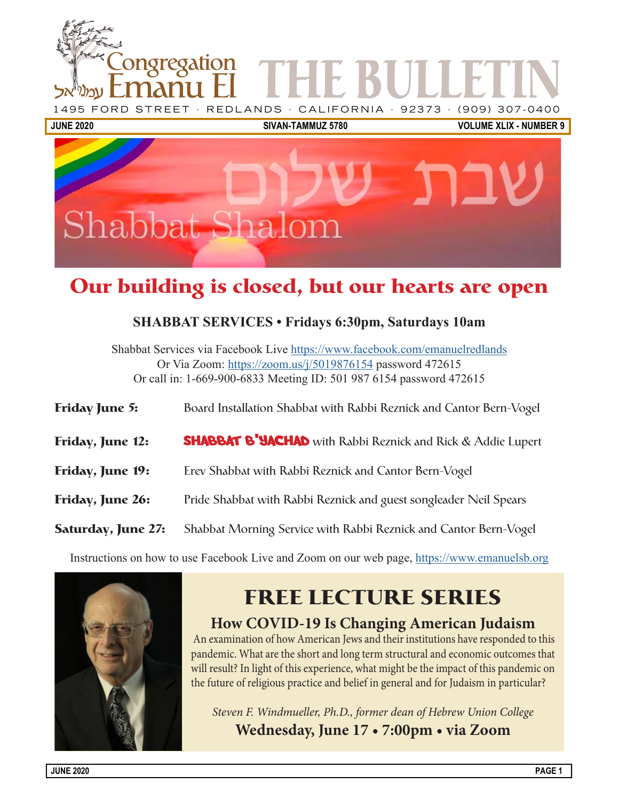

# **Our building is closed, but our hearts are open**

### **SHABBAT SERVICES • Fridays 6:30pm, Saturdays 10am**

Shabbat Services via Facebook Live [https://www.facebook.com/emanuelredlands](https://www.facebook.com/emanuelredlands
) Or Via Zoom: https://zoom.us/j/5019876154 password 472615 Or call in: 1-669-900-6833 Meeting ID: 501 987 6154 password 472615

| Friday June 5:            | Board Installation Shabbat with Rabbi Reznick and Cantor Bern-Vogel |
|---------------------------|---------------------------------------------------------------------|
| Friday, June 12:          | <b>SHABBAT B'YACHAD</b> with Rabbi Reznick and Rick & Addie Lupert  |
| Friday, June 19:          | Erev Shabbat with Rabbi Reznick and Cantor Bern-Vogel               |
| Friday, June 26:          | Pride Shabbat with Rabbi Reznick and guest songleader Neil Spears   |
| <b>Saturday, June 27:</b> | Shabbat Morning Service with Rabbi Reznick and Cantor Bern-Vogel    |

Instructions on how to use Facebook Live and Zoom on our web page, [https://www.emanuelsb.org](https://www.facebook.com/emanuelredlands
)



# **FREE LECTURE SERIES**

**How COVID-19 Is Changing American Judaism**

 An examination of how American Jews and their institutions have responded to this pandemic. What are the short and long term structural and economic outcomes that will result? In light of this experience, what might be the impact of this pandemic on the future of religious practice and belief in general and for Judaism in particular?

*Steven F. Windmueller, Ph.D., former dean of Hebrew Union College*

**Wednesday, June 17 • 7:00pm • via Zoom**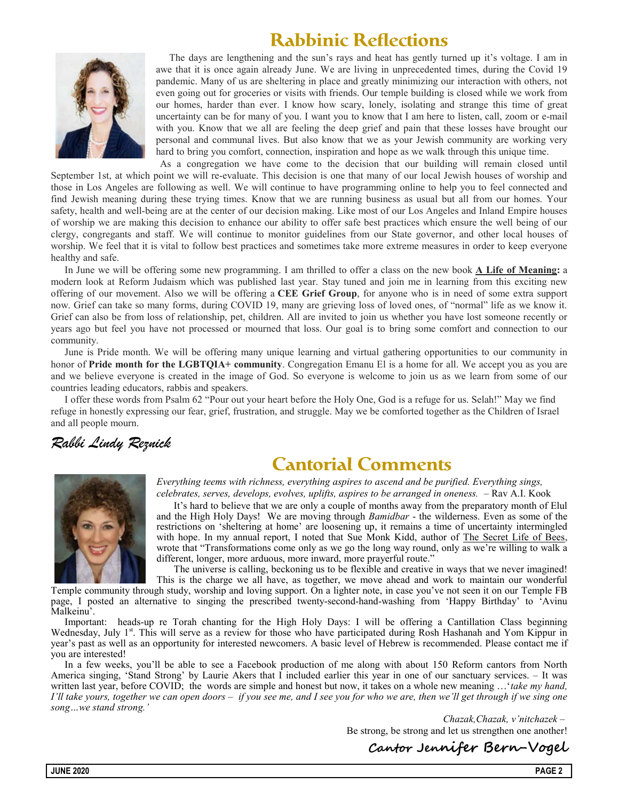# **Rabbinic Reflections**



The days are lengthening and the sun's rays and heat has gently turned up it's voltage. I am in awe that it is once again already June. We are living in unprecedented times, during the Covid 19 pandemic. Many of us are sheltering in place and greatly minimizing our interaction with others, not even going out for groceries or visits with friends. Our temple building is closed while we work from our homes, harder than ever. I know how scary, lonely, isolating and strange this time of great uncertainty can be for many of you. I want you to know that I am here to listen, call, zoom or e-mail with you. Know that we all are feeling the deep grief and pain that these losses have brought our personal and communal lives. But also know that we as your Jewish community are working very hard to bring you comfort, connection, inspiration and hope as we walk through this unique time.

As a congregation we have come to the decision that our building will remain closed until September 1st, at which point we will re-evaluate. This decision is one that many of our local Jewish houses of worship and those in Los Angeles are following as well. We will continue to have programming online to help you to feel connected and find Jewish meaning during these trying times. Know that we are running business as usual but all from our homes. Your safety, health and well-being are at the center of our decision making. Like most of our Los Angeles and Inland Empire houses of worship we are making this decision to enhance our ability to offer safe best practices which ensure the well being of our clergy, congregants and staff. We will continue to monitor guidelines from our State governor, and other local houses of worship. We feel that it is vital to follow best practices and sometimes take more extreme measures in order to keep everyone healthy and safe.

In June we will be offering some new programming. I am thrilled to offer a class on the new book  $\triangle$  Life of Meaning: a modern look at Reform Judaism which was published last year. Stay tuned and join me in learning from this exciting new offering of our movement. Also we will be offering a CEE Grief Group, for anyone who is in need of some extra support now. Grief can take so many forms, during COVID 19, many are grieving loss of loved ones, of "normal" life as we know it. Grief can also be from loss of relationship, pet, children. All are invited to join us whether you have lost someone recently or years ago but feel you have not processed or mourned that loss. Our goal is to bring some comfort and connection to our community.

June is Pride month. We will be offering many unique learning and virtual gathering opportunities to our community in honor of **Pride month for the LGBTQIA+ community**. Congregation Emanu El is a home for all. We accept you as you are and we believe everyone is created in the image of God. So everyone is welcome to join us as we learn from some of our countries leading educators, rabbis and speakers.

I offer these words from Psalm 62 "Pour out your heart before the Holy One, God is a refuge for us. Selah!" May we find refuge in honestly expressing our fear, grief, frustration, and struggle. May we be comforted together as the Children of Israel and all people mourn.

## Rabbi Lindy Reznick

# **Cantorial Comments**



Everything teems with richness, everything aspires to ascend and be purified. Everything sings, celebrates, serves, develops, evolves, uplifts, aspires to be arranged in oneness. – Rav A.I. Kook

It's hard to believe that we are only a couple of months away from the preparatory month of Elul and the High Holy Days! We are moving through Bamidbar - the wilderness. Even as some of the restrictions on 'sheltering at home' are loosening up, it remains a time of uncertainty intermingled with hope. In my annual report, I noted that Sue Monk Kidd, author of The Secret Life of Bees, wrote that "Transformations come only as we go the long way round, only as we're willing to walk a different, longer, more arduous, more inward, more prayerful route."

The universe is calling, beckoning us to be flexible and creative in ways that we never imagined! This is the charge we all have, as together, we move ahead and work to maintain our wonderful

Temple community through study, worship and loving support. On a lighter note, in case you've not seen it on our Temple FB page, I posted an alternative to singing the prescribed twenty-second-hand-washing from 'Happy Birthday' to 'Avinu Malkeinu'.

Important: heads-up re Torah chanting for the High Holy Days: I will be offering a Cantillation Class beginning Wednesday, July 1<sup>st</sup>. This will serve as a review for those who have participated during Rosh Hashanah and Yom Kippur in year's past as well as an opportunity for interested newcomers. A basic level of Hebrew is recommended. Please contact me if you are interested!

In a few weeks, you'll be able to see a Facebook production of me along with about 150 Reform cantors from North America singing, 'Stand Strong' by Laurie Akers that I included earlier this year in one of our sanctuary services. – It was written last year, before COVID; the words are simple and honest but now, it takes on a whole new meaning ...'take my hand, I'll take yours, together we can open doors – if you see me, and I see you for who we are, then we'll get through if we sing one song…we stand strong.'

> Chazak,Chazak, v'nitchazek – Be strong, be strong and let us strengthen one another!

Cantor Jennifer Bern-Vogel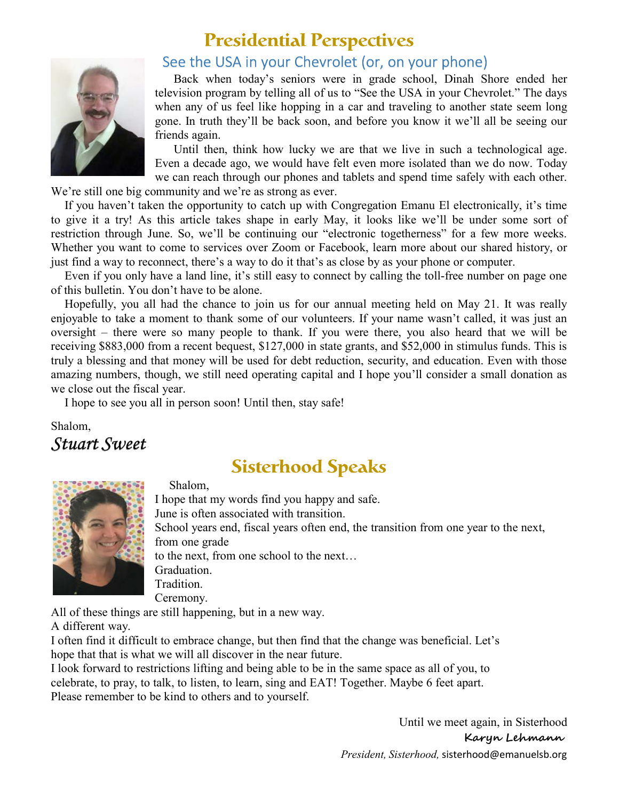

## **Presidential Perspectives**

## See the USA in your Chevrolet (or, on your phone)

Back when today's seniors were in grade school, Dinah Shore ended her television program by telling all of us to "See the USA in your Chevrolet." The days when any of us feel like hopping in a car and traveling to another state seem long gone. In truth they'll be back soon, and before you know it we'll all be seeing our friends again.

Until then, think how lucky we are that we live in such a technological age. Even a decade ago, we would have felt even more isolated than we do now. Today we can reach through our phones and tablets and spend time safely with each other.

We're still one big community and we're as strong as ever.

If you haven't taken the opportunity to catch up with Congregation Emanu El electronically, it's time to give it a try! As this article takes shape in early May, it looks like we'll be under some sort of restriction through June. So, we'll be continuing our "electronic togetherness" for a few more weeks. Whether you want to come to services over Zoom or Facebook, learn more about our shared history, or just find a way to reconnect, there's a way to do it that's as close by as your phone or computer.

Even if you only have a land line, it's still easy to connect by calling the toll-free number on page one of this bulletin. You don't have to be alone.

Hopefully, you all had the chance to join us for our annual meeting held on May 21. It was really enjoyable to take a moment to thank some of our volunteers. If your name wasn't called, it was just an oversight – there were so many people to thank. If you were there, you also heard that we will be receiving \$883,000 from a recent bequest, \$127,000 in state grants, and \$52,000 in stimulus funds. This is truly a blessing and that money will be used for debt reduction, security, and education. Even with those amazing numbers, though, we still need operating capital and I hope you'll consider a small donation as we close out the fiscal year.

I hope to see you all in person soon! Until then, stay safe!

Shalom, Stuart Sweet

## **Sisterhood Speaks**



Shalom,

I hope that my words find you happy and safe. June is often associated with transition. School years end, fiscal years often end, the transition from one year to the next, from one grade to the next, from one school to the next… Graduation. Tradition. Ceremony.

All of these things are still happening, but in a new way.

A different way.

I often find it difficult to embrace change, but then find that the change was beneficial. Let's hope that that is what we will all discover in the near future.

I look forward to restrictions lifting and being able to be in the same space as all of you, to celebrate, to pray, to talk, to listen, to learn, sing and EAT! Together. Maybe 6 feet apart. Please remember to be kind to others and to yourself.

> Until we meet again, in Sisterhood Karyn Lehmann President, Sisterhood, sisterhood@emanuelsb.org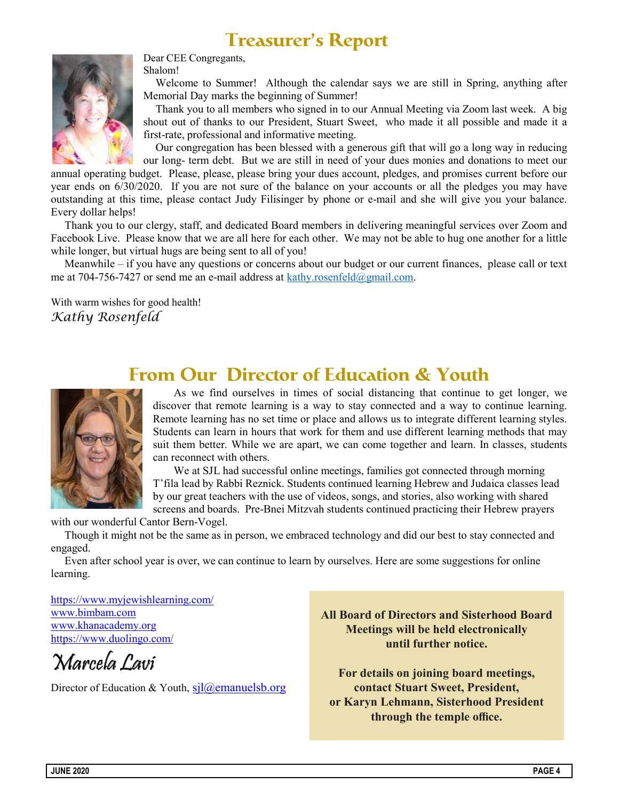# **Treasurer's Report**



Dear CEE Congregants,

Shalom!

Welcome to Summer! Although the calendar says we are still in Spring, anything after Memorial Day marks the beginning of Summer!

Thank you to all members who signed in to our Annual Meeting via Zoom last week. A big shout out of thanks to our President, Stuart Sweet, who made it all possible and made it a first-rate, professional and informative meeting.

Our congregation has been blessed with a generous gift that will go a long way in reducing our long- term debt. But we are still in need of your dues monies and donations to meet our

annual operating budget. Please, please, please bring your dues account, pledges, and promises current before our year ends on 6/30/2020. If you are not sure of the balance on your accounts or all the pledges you may have outstanding at this time, please contact Judy Filisinger by phone or e-mail and she will give you your balance. Every dollar helps!

Thank you to our clergy, staff, and dedicated Board members in delivering meaningful services over Zoom and Facebook Live. Please know that we are all here for each other. We may not be able to hug one another for a little while longer, but virtual hugs are being sent to all of you!

Meanwhile – if you have any questions or concerns about our budget or our current finances, please call or text me at 704-756-7427 or send me an e-mail address at kathy.rosenfeld@gmail.com.

With warm wishes for good health! Kathy Rosenfeld

## **From Our Director of Education & Youth**



As we find ourselves in times of social distancing that continue to get longer, we discover that remote learning is a way to stay connected and a way to continue learning. Remote learning has no set time or place and allows us to integrate different learning styles. Students can learn in hours that work for them and use different learning methods that may suit them better. While we are apart, we can come together and learn. In classes, students can reconnect with others.

We at SJL had successful online meetings, families got connected through morning T'fila lead by Rabbi Reznick. Students continued learning Hebrew and Judaica classes lead by our great teachers with the use of videos, songs, and stories, also working with shared screens and boards. Pre-Bnei Mitzvah students continued practicing their Hebrew prayers

with our wonderful Cantor Bern-Vogel.

Though it might not be the same as in person, we embraced technology and did our best to stay connected and engaged.

Even after school year is over, we can continue to learn by ourselves. Here are some suggestions for online learning.

https://www.myjewishlearning.com/ www.bimbam.com www.khanacademy.org https://www.duolingo.com/

Marcela Lavi

Director of Education & Youth,  $si\hat{a}$  emanuelsb.org

**All Board of Directors and Sisterhood Board Meetings will be held electronically until further notice.**

**For details on joining board meetings, contact Stuart Sweet, President, or Karyn Lehmann, Sisterhood President through the temple office.**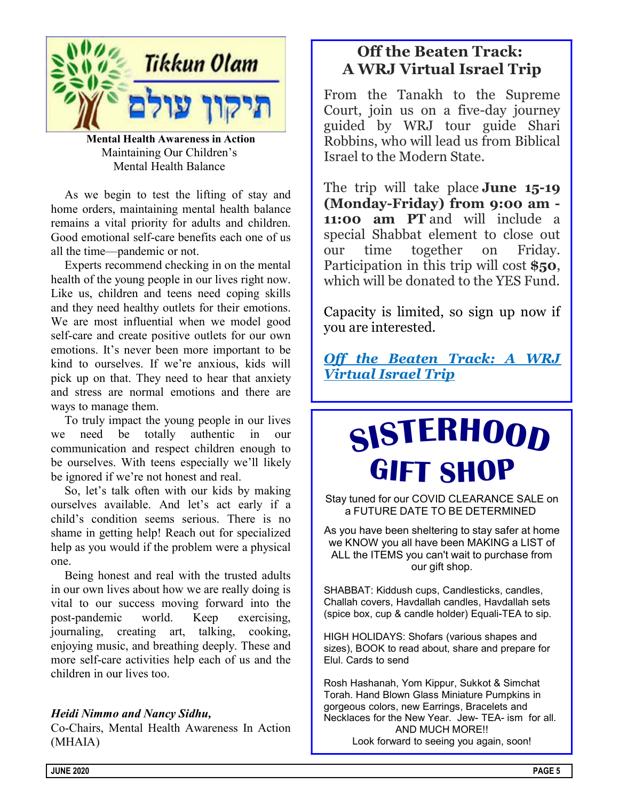

Mental Health Awareness in Action Maintaining Our Children's Mental Health Balance

As we begin to test the lifting of stay and home orders, maintaining mental health balance remains a vital priority for adults and children. Good emotional self-care benefits each one of us all the time—pandemic or not.

Experts recommend checking in on the mental health of the young people in our lives right now. Like us, children and teens need coping skills and they need healthy outlets for their emotions. We are most influential when we model good self-care and create positive outlets for our own emotions. It's never been more important to be kind to ourselves. If we're anxious, kids will pick up on that. They need to hear that anxiety and stress are normal emotions and there are ways to manage them.

To truly impact the young people in our lives we need be totally authentic in our communication and respect children enough to be ourselves. With teens especially we'll likely be ignored if we're not honest and real.

So, let's talk often with our kids by making ourselves available. And let's act early if a child's condition seems serious. There is no shame in getting help! Reach out for specialized help as you would if the problem were a physical one.

Being honest and real with the trusted adults in our own lives about how we are really doing is vital to our success moving forward into the post-pandemic world. Keep exercising, journaling, creating art, talking, cooking, enjoying music, and breathing deeply. These and more self-care activities help each of us and the children in our lives too.

### Heidi Nimmo and Nancy Sidhu,

Co-Chairs, Mental Health Awareness In Action (MHAIA)

## Off the Beaten Track: A WRJ Virtual Israel Trip

From the Tanakh to the Supreme Court, join us on a five-day journey guided by WRJ tour guide Shari Robbins, who will lead us from Biblical Israel to the Modern State.

The trip will take place **June 15-19** (Monday-Friday) from 9:00 am - 11:00 am PT and will include a special Shabbat element to close out our time together on Friday. Participation in this trip will cost \$50, which will be donated to the YES Fund.

Capacity is limited, so sign up now if you are interested.

Off the Beaten Track: A WRJ Virtual Israel Trip

# SISTERHOOD GIFT SHOP

Stay tuned for our COVID CLEARANCE SALE on a FUTURE DATE TO BE DETERMINED

As you have been sheltering to stay safer at home we KNOW you all have been MAKING a LIST of ALL the ITEMS you can't wait to purchase from our gift shop.

SHABBAT: Kiddush cups, Candlesticks, candles, Challah covers, Havdallah candles, Havdallah sets (spice box, cup & candle holder) Equali-TEA to sip.

HIGH HOLIDAYS: Shofars (various shapes and sizes), BOOK to read about, share and prepare for Elul. Cards to send

Rosh Hashanah, Yom Kippur, Sukkot & Simchat Torah. Hand Blown Glass Miniature Pumpkins in gorgeous colors, new Earrings, Bracelets and Necklaces for the New Year. Jew- TEA- ism for all. AND MUCH MORE!! Look forward to seeing you again, soon!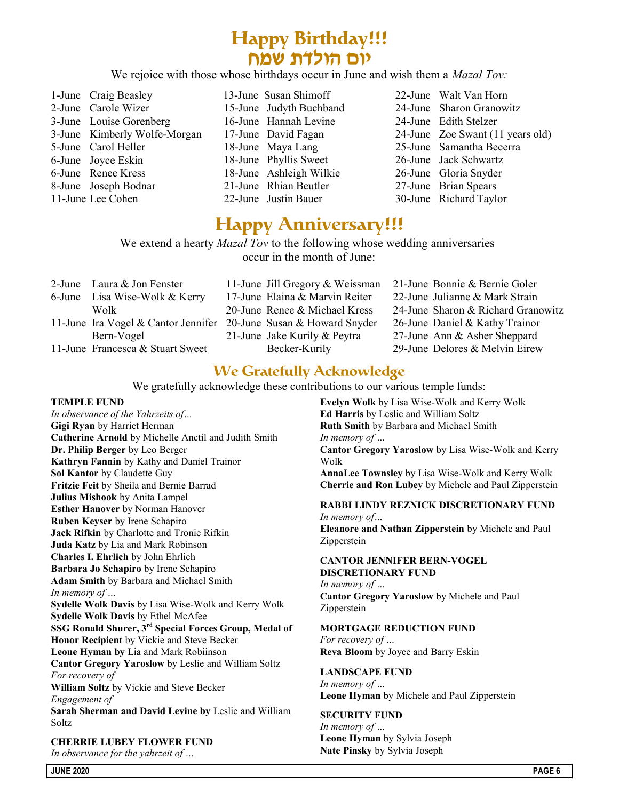# **Happy Birthday!!!** יום הולדת שמח

We rejoice with those whose birthdays occur in June and wish them a *Mazal Tov*:

1-June Craig Beasley 2-June Carole Wizer 3-June Louise Gorenberg 3-June Kimberly Wolfe-Morgan 5-June Carol Heller 6-June Joyce Eskin 6-June Renee Kress 8-June Joseph Bodnar 11-June Lee Cohen 13-June Susan Shimoff 15-June Judyth Buchband 16-June Hannah Levine 17-June David Fagan 18-June Maya Lang 18-June Phyllis Sweet 18-June Ashleigh Wilkie 21-June Rhian Beutler 22-June Justin Bauer 22-June Walt Van Horn 24-June Sharon Granowitz 24-June Edith Stelzer 24-June Zoe Swant (11 years old) 25-June Samantha Becerra 26-June Jack Schwartz 26-June Gloria Snyder 27-June Brian Spears 30-June Richard Taylor

## **Happy Anniversary!!!**

We extend a hearty *Mazal Tov* to the following whose wedding anniversaries occur in the month of June:

| 2-June Laura & Jon Fenster                                        |                                | 11-June Jill Gregory & Weissman 21-June Bonnie & Bernie Goler |
|-------------------------------------------------------------------|--------------------------------|---------------------------------------------------------------|
| 6-June Lisa Wise-Wolk & Kerry                                     | 17-June Elaina & Marvin Reiter | 22-June Julianne & Mark Strain                                |
| Wolk                                                              | 20-June Renee & Michael Kress  | 24-June Sharon & Richard Granowitz                            |
| 11-June Ira Vogel & Cantor Jennifer 20-June Susan & Howard Snyder |                                | 26-June Daniel & Kathy Trainor                                |
| Bern-Vogel                                                        | 21-June Jake Kurily & Peytra   | 27-June Ann & Asher Sheppard                                  |
| 11-June Francesca & Stuart Sweet                                  | Becker-Kurily                  | 29-June Delores & Melvin Eirew                                |

## **We Gratefully Acknowledge**

We gratefully acknowledge these contributions to our various temple funds:

### TEMPLE FUND

In observance of the Yahrzeits of… Gigi Ryan by Harriet Herman Catherine Arnold by Michelle Anctil and Judith Smith Dr. Philip Berger by Leo Berger Kathryn Fannin by Kathy and Daniel Trainor Sol Kantor by Claudette Guy Fritzie Feit by Sheila and Bernie Barrad Julius Mishook by Anita Lampel Esther Hanover by Norman Hanover Ruben Keyser by Irene Schapiro Jack Rifkin by Charlotte and Tronie Rifkin Juda Katz by Lia and Mark Robinson Charles I. Ehrlich by John Ehrlich Barbara Jo Schapiro by Irene Schapiro Adam Smith by Barbara and Michael Smith In memory of … Sydelle Wolk Davis by Lisa Wise-Wolk and Kerry Wolk Sydelle Wolk Davis by Ethel McAfee SSG Ronald Shurer, 3<sup>rd</sup> Special Forces Group, Medal of Honor Recipient by Vickie and Steve Becker Leone Hyman by Lia and Mark Robiinson Cantor Gregory Yaroslow by Leslie and William Soltz For recovery of William Soltz by Vickie and Steve Becker Engagement of Sarah Sherman and David Levine by Leslie and William Soltz

CHERRIE LUBEY FLOWER FUND In observance for the yahrzeit of …

Evelyn Wolk by Lisa Wise-Wolk and Kerry Wolk Ed Harris by Leslie and William Soltz Ruth Smith by Barbara and Michael Smith In memory of … Cantor Gregory Yaroslow by Lisa Wise-Wolk and Kerry Wolk AnnaLee Townsley by Lisa Wise-Wolk and Kerry Wolk Cherrie and Ron Lubey by Michele and Paul Zipperstein

### RABBI LINDY REZNICK DISCRETIONARY FUND In memory of…

Eleanore and Nathan Zipperstein by Michele and Paul Zipperstein

### CANTOR JENNIFER BERN-VOGEL DISCRETIONARY FUND

In memory of … Cantor Gregory Yaroslow by Michele and Paul Zipperstein

### MORTGAGE REDUCTION FUND

For recovery of … Reva Bloom by Joyce and Barry Eskin

### LANDSCAPE FUND

In memory of … Leone Hyman by Michele and Paul Zipperstein

### SECURITY FUND

In memory of … Leone Hyman by Sylvia Joseph Nate Pinsky by Sylvia Joseph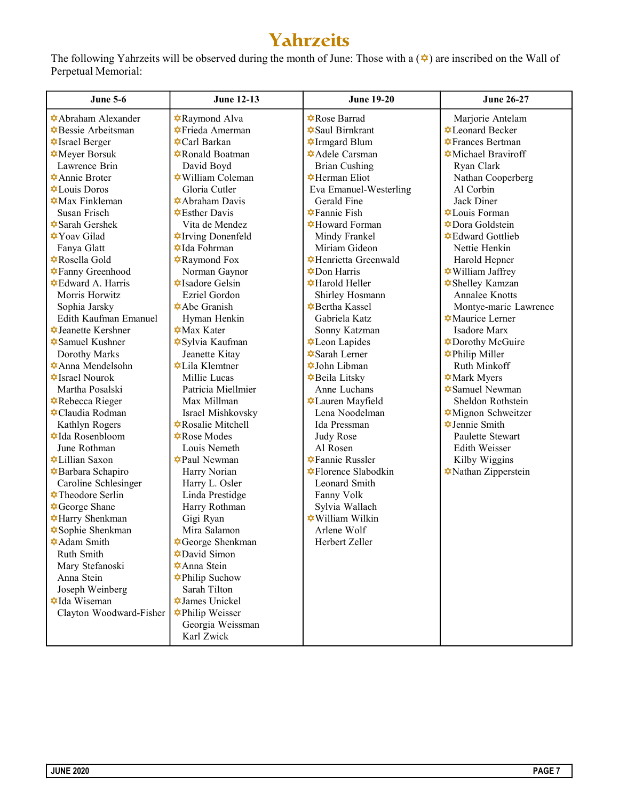# Yahrzeits

The following Yahrzeits will be observed during the month of June: Those with a  $(\triangleleft)$  are inscribed on the Wall of Perpetual Memorial:

| <b>June 5-6</b>                                 | <b>June 12-13</b>                                       | <b>June 19-20</b>                             | <b>June 26-27</b>                               |
|-------------------------------------------------|---------------------------------------------------------|-----------------------------------------------|-------------------------------------------------|
| <b></b> Abraham Alexander                       | <b>A</b> Raymond Alva                                   | <b></b> Rose Barrad                           | Marjorie Antelam                                |
| <b><math>\triangle</math></b> Bessie Arbeitsman | <b></b> Frieda Amerman                                  | <b><math>\triangle</math>Saul Birnkrant</b>   | <b>⊅</b> Leonard Becker                         |
| <b><math>\triangle</math>Israel Berger</b>      | <b><math>\triangle</math>Carl Barkan</b>                | <b>↓Irmgard Blum</b>                          | <b><math>\triangle</math>Frances Bertman</b>    |
| <b><math>\triangle</math></b> Meyer Borsuk      | <b></b> Ronald Boatman                                  | <b><math>\triangle</math>Adele Carsman</b>    | <b><math>\triangle</math></b> Michael Braviroff |
| Lawrence Brin                                   | David Boyd                                              | <b>Brian Cushing</b>                          | Ryan Clark                                      |
| <b>Annie Broter</b>                             | <b><math>\blacktriangleright</math></b> William Coleman | <b><math>\triangle</math>Herman Eliot</b>     | Nathan Cooperberg                               |
| <b>‡</b> Louis Doros                            | Gloria Cutler                                           | Eva Emanuel-Westerling                        | Al Corbin                                       |
| $\triangle$ Max Finkleman                       | <b><math>\triangle</math>Abraham Davis</b>              | Gerald Fine                                   | Jack Diner                                      |
| Susan Frisch                                    | $\triangle$ Esther Davis                                | $\bigstar$ Fannie Fish                        | <b>⊅</b> Louis Forman                           |
| <b><math>\triangle</math></b> Sarah Gershek     | Vita de Mendez                                          | <b>‡Howard Forman</b>                         | <b>⊅Dora Goldstein</b>                          |
| <b><math>\blacklozenge</math></b> Yoav Gilad    | <b></b> Trving Donenfeld                                | Mindy Frankel                                 | <b></b> ⊅Edward Gottlieb                        |
| Fanya Glatt                                     | <b>⊅Ida Fohrman</b>                                     | Miriam Gideon                                 | Nettie Henkin                                   |
| <b> ¢</b> Rosella Gold                          | <b></b> Raymond Fox                                     | <b></b> Henrietta Greenwald                   | Harold Hepner                                   |
| <b></b> Fanny Greenhood                         | Norman Gaynor                                           | $\bigstar$ Don Harris                         | <b>★William Jaffrey</b>                         |
| <b></b> Edward A. Harris                        | <b><math>\triangle</math>Isadore Gelsin</b>             | <b></b> Harold Heller                         | <b>☆Shelley Kamzan</b>                          |
| Morris Horwitz                                  | Ezriel Gordon                                           | Shirley Hosmann                               | Annalee Knotts                                  |
| Sophia Jarsky                                   | <b><math>\triangle</math>Abe Granish</b>                | <b><math>\triangle</math></b> Bertha Kassel   | Montye-marie Lawrence                           |
| Edith Kaufman Emanuel                           | Hyman Henkin                                            | Gabriela Katz                                 | <b><math>\triangle</math>Maurice Lerner</b>     |
| <b><math>\triangle</math></b> Jeanette Kershner | $\bigstar$ Max Kater                                    | Sonny Katzman                                 | Isadore Marx                                    |
| <b><math>\triangle</math>Samuel Kushner</b>     | <b><math>\triangle</math></b> Sylvia Kaufman            | <b>‡Leon Lapides</b>                          | <b>⊅Dorothy McGuire</b>                         |
| Dorothy Marks                                   | Jeanette Kitay                                          | <b><math>\triangle</math></b> Sarah Lerner    | <b>‡Philip Miller</b>                           |
| <b><math>\triangle</math>Anna Mendelsohn</b>    | <b><math>\triangle</math></b> Lila Klemtner             | <b><math>\blacklozenge</math></b> John Libman | Ruth Minkoff                                    |
| $\triangle$ Israel Nourok                       | Millie Lucas                                            | <b><math>\triangle</math></b> Beila Litsky    | <b><math>\triangle</math></b> Mark Myers        |
| Martha Posalski                                 | Patricia Miellmier                                      | Anne Luchans                                  | <b><math>\triangle</math>Samuel Newman</b>      |
| <b>☆</b> Rebecca Rieger                         | Max Millman                                             | <b>V</b> Lauren Mayfield                      | Sheldon Rothstein                               |
| <b>‡</b> Claudia Rodman                         | Israel Mishkovsky                                       | Lena Noodelman                                | Mignon Schweitzer                               |
| Kathlyn Rogers                                  | <b>☆</b> Rosalie Mitchell                               | Ida Pressman                                  | <b><math>\triangle</math></b> Jennie Smith      |
| <b><math>\triangle</math>Ida Rosenbloom</b>     | <b>‡Rose Modes</b>                                      | <b>Judy Rose</b>                              | Paulette Stewart                                |
| June Rothman                                    | Louis Nemeth                                            | Al Rosen                                      | <b>Edith Weisser</b>                            |
| <b></b> ⊅Lillian Saxon                          | <b></b> Paul Newman                                     | <b></b> Fannie Russler                        | Kilby Wiggins                                   |
| <b></b> Barbara Schapiro                        | Harry Norian                                            | <b> ‡Florence Slabodkin</b>                   | Nathan Zipperstein                              |
| Caroline Schlesinger                            | Harry L. Osler                                          | Leonard Smith                                 |                                                 |
| <b>Theodore Serlin</b>                          | Linda Prestidge                                         | Fanny Volk                                    |                                                 |
| <b><math>\triangle</math></b> George Shane      | Harry Rothman                                           | Sylvia Wallach                                |                                                 |
| <b></b> Harry Shenkman                          | Gigi Ryan                                               | <b>★William Wilkin</b>                        |                                                 |
| <b>☆Sophie Shenkman</b>                         | Mira Salamon                                            | Arlene Wolf                                   |                                                 |
| <b><math>\triangle</math>Adam Smith</b>         | <b></b> George Shenkman                                 | Herbert Zeller                                |                                                 |
| Ruth Smith                                      | <b>⊅David Simon</b>                                     |                                               |                                                 |
| Mary Stefanoski                                 | <b><math>\triangle</math>Anna Stein</b>                 |                                               |                                                 |
| Anna Stein                                      | <b></b> Philip Suchow                                   |                                               |                                                 |
| Joseph Weinberg                                 | Sarah Tilton                                            |                                               |                                                 |
| <b><math>\triangle</math>Ida Wiseman</b>        | <b><math>\triangle</math></b> James Unickel             |                                               |                                                 |
| Clayton Woodward-Fisher                         | <b></b> Philip Weisser                                  |                                               |                                                 |
|                                                 | Georgia Weissman                                        |                                               |                                                 |
|                                                 | Karl Zwick                                              |                                               |                                                 |